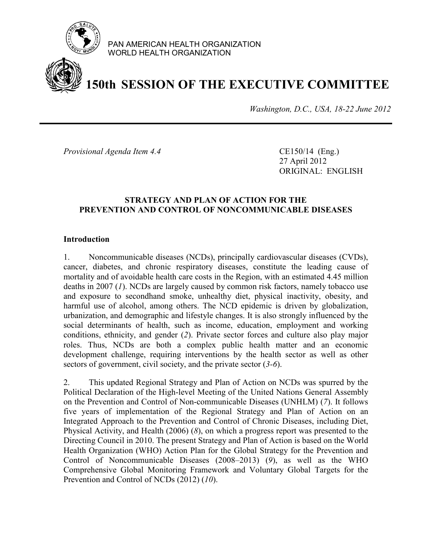

PAN AMERICAN HEALTH ORGANIZATION WORLD HEALTH ORGANIZATION

# **150th SESSION OF THE EXECUTIVE COMMITTEE**

*Washington, D.C., USA, 18-22 June 2012*

*Provisional Agenda Item 4.4* CE150/14 (Eng.)

27 April 2012 ORIGINAL: ENGLISH

#### **STRATEGY AND PLAN OF ACTION FOR THE PREVENTION AND CONTROL OF NONCOMMUNICABLE DISEASES**

#### **Introduction**

1. Noncommunicable diseases (NCDs), principally cardiovascular diseases (CVDs), cancer, diabetes, and chronic respiratory diseases, constitute the leading cause of mortality and of avoidable health care costs in the Region, with an estimated 4.45 million deaths in 2007 (*1*). NCDs are largely caused by common risk factors, namely tobacco use and exposure to secondhand smoke, unhealthy diet, physical inactivity, obesity, and harmful use of alcohol, among others. The NCD epidemic is driven by globalization, urbanization, and demographic and lifestyle changes. It is also strongly influenced by the social determinants of health, such as income, education, employment and working conditions, ethnicity, and gender (*2*). Private sector forces and culture also play major roles. Thus, NCDs are both a complex public health matter and an economic development challenge, requiring interventions by the health sector as well as other sectors of government, civil society, and the private sector (*3-6*).

2. This updated Regional Strategy and Plan of Action on NCDs was spurred by the Political Declaration of the High-level Meeting of the United Nations General Assembly on the Prevention and Control of Non-communicable Diseases (UNHLM) (*7*). It follows five years of implementation of the Regional Strategy and Plan of Action on an Integrated Approach to the Prevention and Control of Chronic Diseases, including Diet, Physical Activity, and Health (2006) (*8*), on which a progress report was presented to the Directing Council in 2010. The present Strategy and Plan of Action is based on the World Health Organization (WHO) Action Plan for the Global Strategy for the Prevention and Control of Noncommunicable Diseases (2008–2013) (*9*), as well as the WHO Comprehensive Global Monitoring Framework and Voluntary Global Targets for the Prevention and Control of NCDs (2012) (*10*).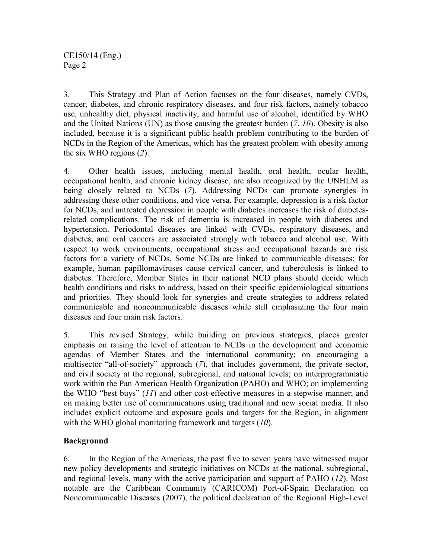3. This Strategy and Plan of Action focuses on the four diseases, namely CVDs, cancer, diabetes, and chronic respiratory diseases, and four risk factors, namely tobacco use, unhealthy diet, physical inactivity, and harmful use of alcohol, identified by WHO and the United Nations (UN) as those causing the greatest burden (*7*, *10*). Obesity is also included, because it is a significant public health problem contributing to the burden of NCDs in the Region of the Americas, which has the greatest problem with obesity among the six WHO regions (*2*).

4. Other health issues, including mental health, oral health, ocular health, occupational health, and chronic kidney disease, are also recognized by the UNHLM as being closely related to NCDs (*7*). Addressing NCDs can promote synergies in addressing these other conditions, and vice versa. For example, depression is a risk factor for NCDs, and untreated depression in people with diabetes increases the risk of diabetesrelated complications. The risk of dementia is increased in people with diabetes and hypertension. Periodontal diseases are linked with CVDs, respiratory diseases, and diabetes, and oral cancers are associated strongly with tobacco and alcohol use. With respect to work environments, occupational stress and occupational hazards are risk factors for a variety of NCDs. Some NCDs are linked to communicable diseases: for example, human papillomaviruses cause cervical cancer, and tuberculosis is linked to diabetes. Therefore, Member States in their national NCD plans should decide which health conditions and risks to address, based on their specific epidemiological situations and priorities. They should look for synergies and create strategies to address related communicable and noncommunicable diseases while still emphasizing the four main diseases and four main risk factors.

5. This revised Strategy, while building on previous strategies, places greater emphasis on raising the level of attention to NCDs in the development and economic agendas of Member States and the international community; on encouraging a multisector "all-of-society" approach (*7*), that includes government, the private sector, and civil society at the regional, subregional, and national levels; on interprogrammatic work within the Pan American Health Organization (PAHO) and WHO; on implementing the WHO "best buys" (*11*) and other cost-effective measures in a stepwise manner; and on making better use of communications using traditional and new social media. It also includes explicit outcome and exposure goals and targets for the Region, in alignment with the WHO global monitoring framework and targets (*10*).

## **Background**

6. In the Region of the Americas, the past five to seven years have witnessed major new policy developments and strategic initiatives on NCDs at the national, subregional, and regional levels, many with the active participation and support of PAHO (*12*). Most notable are the Caribbean Community (CARICOM) Port-of-Spain Declaration on Noncommunicable Diseases (2007), the political declaration of the Regional High-Level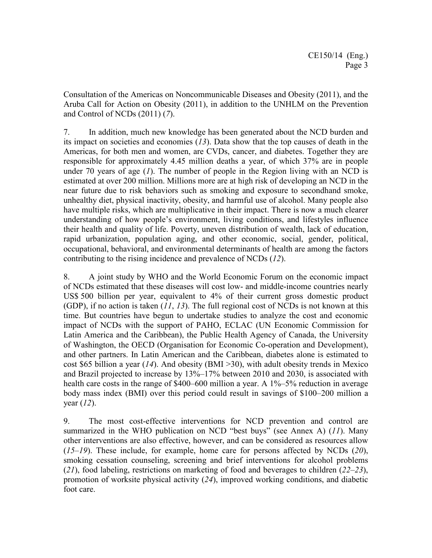Consultation of the Americas on Noncommunicable Diseases and Obesity (2011), and the Aruba Call for Action on Obesity (2011), in addition to the UNHLM on the Prevention and Control of NCDs (2011) (*7*).

7. In addition, much new knowledge has been generated about the NCD burden and its impact on societies and economies (*13*). Data show that the top causes of death in the Americas, for both men and women, are CVDs, cancer, and diabetes. Together they are responsible for approximately 4.45 million deaths a year, of which 37% are in people under 70 years of age (*1*). The number of people in the Region living with an NCD is estimated at over 200 million. Millions more are at high risk of developing an NCD in the near future due to risk behaviors such as smoking and exposure to secondhand smoke, unhealthy diet, physical inactivity, obesity, and harmful use of alcohol. Many people also have multiple risks, which are multiplicative in their impact. There is now a much clearer understanding of how people's environment, living conditions, and lifestyles influence their health and quality of life. Poverty, uneven distribution of wealth, lack of education, rapid urbanization, population aging, and other economic, social, gender, political, occupational, behavioral, and environmental determinants of health are among the factors contributing to the rising incidence and prevalence of NCDs (*12*).

8. A joint study by WHO and the World Economic Forum on the economic impact of NCDs estimated that these diseases will cost low- and middle-income countries nearly US\$ 500 billion per year, equivalent to 4% of their current gross domestic product (GDP), if no action is taken (*11*, *13*). The full regional cost of NCDs is not known at this time. But countries have begun to undertake studies to analyze the cost and economic impact of NCDs with the support of PAHO, ECLAC (UN Economic Commission for Latin America and the Caribbean), the Public Health Agency of Canada, the University of Washington, the OECD (Organisation for Economic Co-operation and Development), and other partners. In Latin American and the Caribbean, diabetes alone is estimated to cost \$65 billion a year (*14*). And obesity (BMI >30), with adult obesity trends in Mexico and Brazil projected to increase by 13%–17% between 2010 and 2030, is associated with health care costs in the range of \$400–600 million a year. A 1%–5% reduction in average body mass index (BMI) over this period could result in savings of \$100–200 million a year (*12*).

9. The most cost-effective interventions for NCD prevention and control are summarized in the WHO publication on NCD "best buys" (see Annex A) (*11*). Many other interventions are also effective, however, and can be considered as resources allow (*15–19*). These include, for example, home care for persons affected by NCDs (*20*), smoking cessation counseling, screening and brief interventions for alcohol problems (*21*), food labeling, restrictions on marketing of food and beverages to children (*22–23*), promotion of worksite physical activity (*24*), improved working conditions, and diabetic foot care.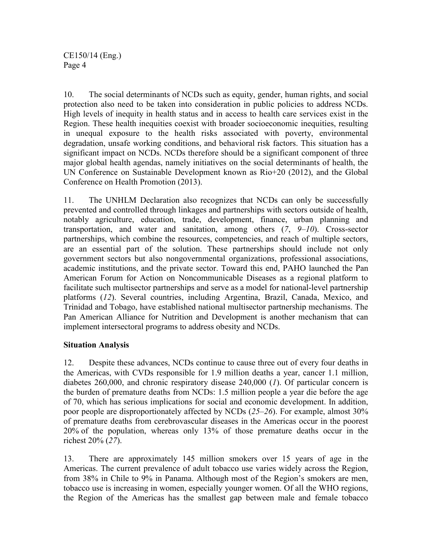10. The social determinants of NCDs such as equity, gender, human rights, and social protection also need to be taken into consideration in public policies to address NCDs. High levels of inequity in health status and in access to health care services exist in the Region. These health inequities coexist with broader socioeconomic inequities, resulting in unequal exposure to the health risks associated with poverty, environmental degradation, unsafe working conditions, and behavioral risk factors. This situation has a significant impact on NCDs. NCDs therefore should be a significant component of three major global health agendas, namely initiatives on the social determinants of health, the UN Conference on Sustainable Development known as Rio+20 (2012), and the Global Conference on Health Promotion (2013).

11. The UNHLM Declaration also recognizes that NCDs can only be successfully prevented and controlled through linkages and partnerships with sectors outside of health, notably agriculture, education, trade, development, finance, urban planning and transportation, and water and sanitation, among others (*7*, *9–10*). Cross-sector partnerships, which combine the resources, competencies, and reach of multiple sectors, are an essential part of the solution. These partnerships should include not only government sectors but also nongovernmental organizations, professional associations, academic institutions, and the private sector. Toward this end, PAHO launched the Pan American Forum for Action on Noncommunicable Diseases as a regional platform to facilitate such multisector partnerships and serve as a model for national-level partnership platforms (*12*). Several countries, including Argentina, Brazil, Canada, Mexico, and Trinidad and Tobago, have established national multisector partnership mechanisms. The Pan American Alliance for Nutrition and Development is another mechanism that can implement intersectoral programs to address obesity and NCDs.

## **Situation Analysis**

12. Despite these advances, NCDs continue to cause three out of every four deaths in the Americas, with CVDs responsible for 1.9 million deaths a year, cancer 1.1 million, diabetes 260,000, and chronic respiratory disease 240,000 (*1*). Of particular concern is the burden of premature deaths from NCDs: 1.5 million people a year die before the age of 70, which has serious implications for social and economic development. In addition, poor people are disproportionately affected by NCDs (*25–26*). For example, almost 30% of premature deaths from cerebrovascular diseases in the Americas occur in the poorest 20% of the population, whereas only 13% of those premature deaths occur in the richest 20% (*27*).

13. There are approximately 145 million smokers over 15 years of age in the Americas. The current prevalence of adult tobacco use varies widely across the Region, from 38% in Chile to 9% in Panama. Although most of the Region's smokers are men, tobacco use is increasing in women, especially younger women. Of all the WHO regions, the Region of the Americas has the smallest gap between male and female tobacco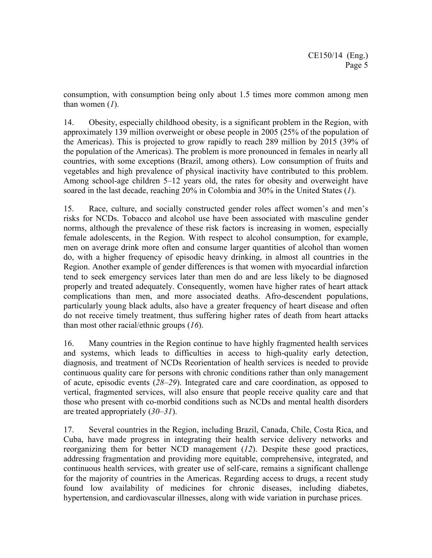consumption, with consumption being only about 1.5 times more common among men than women (*1*).

14. Obesity, especially childhood obesity, is a significant problem in the Region, with approximately 139 million overweight or obese people in 2005 (25% of the population of the Americas). This is projected to grow rapidly to reach 289 million by 2015 (39% of the population of the Americas). The problem is more pronounced in females in nearly all countries, with some exceptions (Brazil, among others). Low consumption of fruits and vegetables and high prevalence of physical inactivity have contributed to this problem. Among school-age children 5–12 years old, the rates for obesity and overweight have soared in the last decade, reaching 20% in Colombia and 30% in the United States (*1*).

15. Race, culture, and socially constructed gender roles affect women's and men's risks for NCDs. Tobacco and alcohol use have been associated with masculine gender norms, although the prevalence of these risk factors is increasing in women, especially female adolescents, in the Region. With respect to alcohol consumption, for example, men on average drink more often and consume larger quantities of alcohol than women do, with a higher frequency of episodic heavy drinking, in almost all countries in the Region. Another example of gender differences is that women with myocardial infarction tend to seek emergency services later than men do and are less likely to be diagnosed properly and treated adequately. Consequently, women have higher rates of heart attack complications than men, and more associated deaths. Afro-descendent populations, particularly young black adults, also have a greater frequency of heart disease and often do not receive timely treatment, thus suffering higher rates of death from heart attacks than most other racial/ethnic groups (*16*).

16. Many countries in the Region continue to have highly fragmented health services and systems, which leads to difficulties in access to high-quality early detection, diagnosis, and treatment of NCDs Reorientation of health services is needed to provide continuous quality care for persons with chronic conditions rather than only management of acute, episodic events (*28–29*). Integrated care and care coordination, as opposed to vertical, fragmented services, will also ensure that people receive quality care and that those who present with co-morbid conditions such as NCDs and mental health disorders are treated appropriately (*30–31*).

17. Several countries in the Region, including Brazil, Canada, Chile, Costa Rica, and Cuba, have made progress in integrating their health service delivery networks and reorganizing them for better NCD management (*12*). Despite these good practices, addressing fragmentation and providing more equitable, comprehensive, integrated, and continuous health services, with greater use of self-care, remains a significant challenge for the majority of countries in the Americas. Regarding access to drugs, a recent study found low availability of medicines for chronic diseases, including diabetes, hypertension, and cardiovascular illnesses, along with wide variation in purchase prices.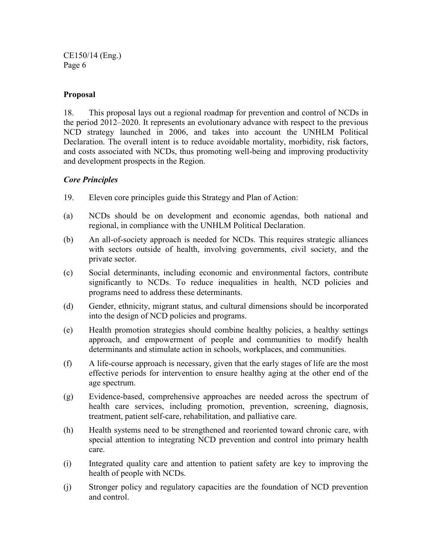#### **Proposal**

18. This proposal lays out a regional roadmap for prevention and control of NCDs in the period 2012–2020. It represents an evolutionary advance with respect to the previous NCD strategy launched in 2006, and takes into account the UNHLM Political Declaration. The overall intent is to reduce avoidable mortality, morbidity, risk factors, and costs associated with NCDs, thus promoting well-being and improving productivity and development prospects in the Region.

#### *Core Principles*

- 19. Eleven core principles guide this Strategy and Plan of Action:
- (a) NCDs should be on development and economic agendas, both national and regional, in compliance with the UNHLM Political Declaration.
- (b) An all-of-society approach is needed for NCDs. This requires strategic alliances with sectors outside of health, involving governments, civil society, and the private sector.
- (c) Social determinants, including economic and environmental factors, contribute significantly to NCDs. To reduce inequalities in health, NCD policies and programs need to address these determinants.
- (d) Gender, ethnicity, migrant status, and cultural dimensions should be incorporated into the design of NCD policies and programs.
- (e) Health promotion strategies should combine healthy policies, a healthy settings approach, and empowerment of people and communities to modify health determinants and stimulate action in schools, workplaces, and communities.
- (f) A life-course approach is necessary, given that the early stages of life are the most effective periods for intervention to ensure healthy aging at the other end of the age spectrum.
- (g) Evidence-based, comprehensive approaches are needed across the spectrum of health care services, including promotion, prevention, screening, diagnosis, treatment, patient self-care, rehabilitation, and palliative care.
- (h) Health systems need to be strengthened and reoriented toward chronic care, with special attention to integrating NCD prevention and control into primary health care.
- (i) Integrated quality care and attention to patient safety are key to improving the health of people with NCDs.
- (j) Stronger policy and regulatory capacities are the foundation of NCD prevention and control.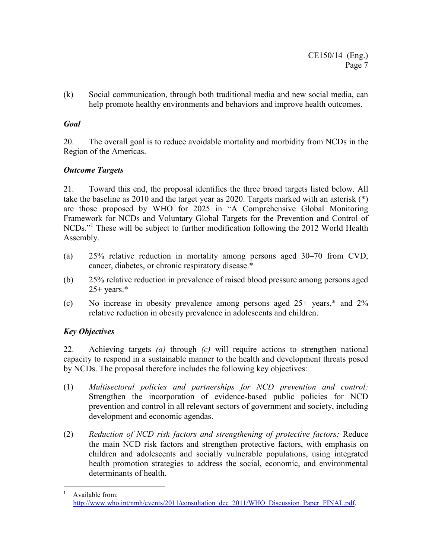(k) Social communication, through both traditional media and new social media, can help promote healthy environments and behaviors and improve health outcomes.

### *Goal*

20. The overall goal is to reduce avoidable mortality and morbidity from NCDs in the Region of the Americas.

### *Outcome Targets*

21. Toward this end, the proposal identifies the three broad targets listed below. All take the baseline as 2010 and the target year as 2020. Targets marked with an asterisk (\*) are those proposed by WHO for 2025 in "A Comprehensive Global Monitoring Framework for NCDs and Voluntary Global Targets for the Prevention and Control of NCDs."<sup>1</sup> These will be subject to further modification following the 2012 World Health Assembly.

- (a) 25% relative reduction in mortality among persons aged 30–70 from CVD, cancer, diabetes, or chronic respiratory disease.\*
- (b) 25% relative reduction in prevalence of raised blood pressure among persons aged  $25+$  years.\*
- (c) No increase in obesity prevalence among persons aged 25+ years,\* and 2% relative reduction in obesity prevalence in adolescents and children.

## *Key Objectives*

22. Achieving targets *(a)* through *(c)* will require actions to strengthen national capacity to respond in a sustainable manner to the health and development threats posed by NCDs. The proposal therefore includes the following key objectives:

- (1) *Multisectoral policies and partnerships for NCD prevention and control:* Strengthen the incorporation of evidence-based public policies for NCD prevention and control in all relevant sectors of government and society, including development and economic agendas.
- (2) *Reduction of NCD risk factors and strengthening of protective factors:* Reduce the main NCD risk factors and strengthen protective factors, with emphasis on children and adolescents and socially vulnerable populations, using integrated health promotion strategies to address the social, economic, and environmental determinants of health.

 $\frac{1}{1}$  Available from: http://www.who.int/nmh/events/2011/consultation\_dec\_2011/WHO\_Discussion\_Paper\_FINAL.pdf.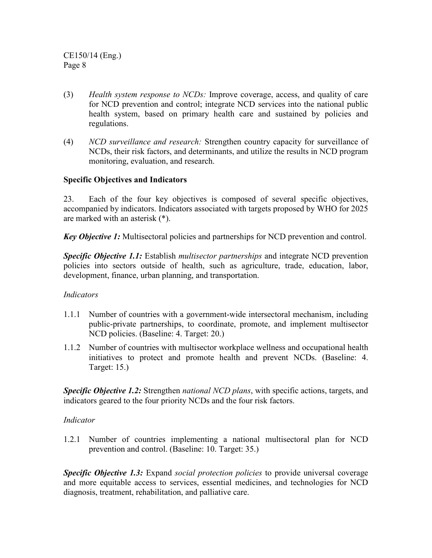- (3) *Health system response to NCDs:* Improve coverage, access, and quality of care for NCD prevention and control; integrate NCD services into the national public health system, based on primary health care and sustained by policies and regulations.
- (4) *NCD surveillance and research:* Strengthen country capacity for surveillance of NCDs, their risk factors, and determinants, and utilize the results in NCD program monitoring, evaluation, and research.

#### **Specific Objectives and Indicators**

23. Each of the four key objectives is composed of several specific objectives, accompanied by indicators. Indicators associated with targets proposed by WHO for 2025 are marked with an asterisk (\*).

*Key Objective 1:* Multisectoral policies and partnerships for NCD prevention and control.

*Specific Objective 1.1:* Establish *multisector partnerships* and integrate NCD prevention policies into sectors outside of health, such as agriculture, trade, education, labor, development, finance, urban planning, and transportation.

#### *Indicators*

- 1.1.1 Number of countries with a government-wide intersectoral mechanism, including public-private partnerships, to coordinate, promote, and implement multisector NCD policies. (Baseline: 4. Target: 20.)
- 1.1.2 Number of countries with multisector workplace wellness and occupational health initiatives to protect and promote health and prevent NCDs. (Baseline: 4. Target: 15.)

*Specific Objective 1.2:* Strengthen *national NCD plans*, with specific actions, targets, and indicators geared to the four priority NCDs and the four risk factors.

#### *Indicator*

1.2.1 Number of countries implementing a national multisectoral plan for NCD prevention and control. (Baseline: 10. Target: 35.)

*Specific Objective 1.3:* Expand *social protection policies* to provide universal coverage and more equitable access to services, essential medicines, and technologies for NCD diagnosis, treatment, rehabilitation, and palliative care.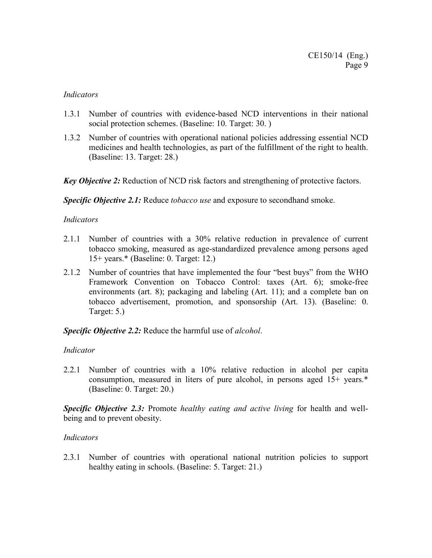#### *Indicators*

- 1.3.1 Number of countries with evidence-based NCD interventions in their national social protection schemes. (Baseline: 10. Target: 30. )
- 1.3.2 Number of countries with operational national policies addressing essential NCD medicines and health technologies, as part of the fulfillment of the right to health. (Baseline: 13. Target: 28.)

*Key Objective 2:* Reduction of NCD risk factors and strengthening of protective factors.

*Specific Objective 2.1:* Reduce *tobacco use* and exposure to secondhand smoke.

#### *Indicators*

- 2.1.1 Number of countries with a 30% relative reduction in prevalence of current tobacco smoking, measured as age-standardized prevalence among persons aged 15+ years.\* (Baseline: 0. Target: 12.)
- 2.1.2 Number of countries that have implemented the four "best buys" from the WHO Framework Convention on Tobacco Control: taxes (Art. 6); smoke-free environments (art. 8); packaging and labeling (Art. 11); and a complete ban on tobacco advertisement, promotion, and sponsorship (Art. 13). (Baseline: 0. Target: 5.)

#### *Specific Objective 2.2:* Reduce the harmful use of *alcohol*.

#### *Indicator*

2.2.1 Number of countries with a 10% relative reduction in alcohol per capita consumption, measured in liters of pure alcohol, in persons aged 15+ years.\* (Baseline: 0. Target: 20.)

*Specific Objective 2.3:* Promote *healthy eating and active living* for health and wellbeing and to prevent obesity.

#### *Indicators*

2.3.1 Number of countries with operational national nutrition policies to support healthy eating in schools. (Baseline: 5. Target: 21.)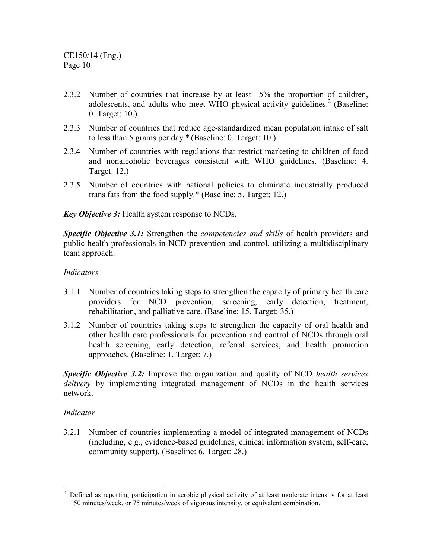- 2.3.2 Number of countries that increase by at least 15% the proportion of children, adolescents, and adults who meet WHO physical activity guidelines.<sup>2</sup> (Baseline: 0. Target: 10.)
- 2.3.3 Number of countries that reduce age-standardized mean population intake of salt to less than 5 grams per day.\* (Baseline: 0. Target: 10.)
- 2.3.4 Number of countries with regulations that restrict marketing to children of food and nonalcoholic beverages consistent with WHO guidelines. (Baseline: 4. Target: 12.)
- 2.3.5 Number of countries with national policies to eliminate industrially produced trans fats from the food supply.\* (Baseline: 5. Target: 12.)

*Key Objective 3:* Health system response to NCDs.

*Specific Objective 3.1:* Strengthen the *competencies and skills* of health providers and public health professionals in NCD prevention and control, utilizing a multidisciplinary team approach.

#### *Indicators*

- 3.1.1 Number of countries taking steps to strengthen the capacity of primary health care providers for NCD prevention, screening, early detection, treatment, rehabilitation, and palliative care. (Baseline: 15. Target: 35.)
- 3.1.2 Number of countries taking steps to strengthen the capacity of oral health and other health care professionals for prevention and control of NCDs through oral health screening, early detection, referral services, and health promotion approaches. (Baseline: 1. Target: 7.)

*Specific Objective 3.2:* Improve the organization and quality of NCD *health services delivery* by implementing integrated management of NCDs in the health services network.

#### *Indicator*

3.2.1 Number of countries implementing a model of integrated management of NCDs (including, e.g., evidence-based guidelines, clinical information system, self-care, community support). (Baseline: 6. Target: 28.)

 $\overline{a}$  $2$  Defined as reporting participation in aerobic physical activity of at least moderate intensity for at least 150 minutes/week, or 75 minutes/week of vigorous intensity, or equivalent combination.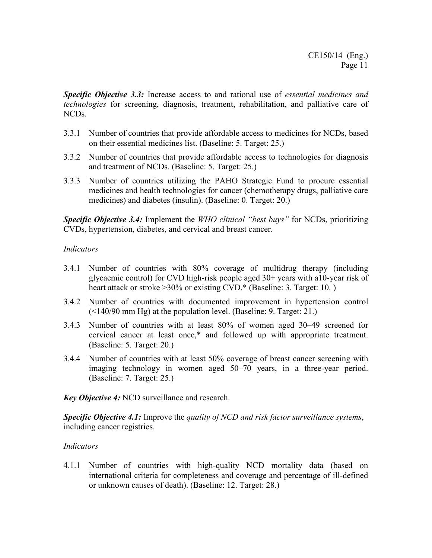*Specific Objective 3.3:* Increase access to and rational use of *essential medicines and technologies* for screening, diagnosis, treatment, rehabilitation, and palliative care of NCDs.

- 3.3.1 Number of countries that provide affordable access to medicines for NCDs, based on their essential medicines list. (Baseline: 5. Target: 25.)
- 3.3.2 Number of countries that provide affordable access to technologies for diagnosis and treatment of NCDs. (Baseline: 5. Target: 25.)
- 3.3.3 Number of countries utilizing the PAHO Strategic Fund to procure essential medicines and health technologies for cancer (chemotherapy drugs, palliative care medicines) and diabetes (insulin). (Baseline: 0. Target: 20.)

*Specific Objective 3.4:* Implement the *WHO clinical "best buys"* for NCDs, prioritizing CVDs, hypertension, diabetes, and cervical and breast cancer.

#### *Indicators*

- 3.4.1 Number of countries with 80% coverage of multidrug therapy (including glycaemic control) for CVD high-risk people aged 30+ years with a10-year risk of heart attack or stroke >30% or existing CVD.\* (Baseline: 3. Target: 10.)
- 3.4.2 Number of countries with documented improvement in hypertension control (<140/90 mm Hg) at the population level. (Baseline: 9. Target: 21.)
- 3.4.3 Number of countries with at least 80% of women aged 30–49 screened for cervical cancer at least once,\* and followed up with appropriate treatment. (Baseline: 5. Target: 20.)
- 3.4.4 Number of countries with at least 50% coverage of breast cancer screening with imaging technology in women aged 50–70 years, in a three-year period. (Baseline: 7. Target: 25.)

*Key Objective 4:* NCD surveillance and research.

*Specific Objective 4.1:* Improve the *quality of NCD and risk factor surveillance systems*, including cancer registries.

#### *Indicators*

4.1.1 Number of countries with high-quality NCD mortality data (based on international criteria for completeness and coverage and percentage of ill-defined or unknown causes of death). (Baseline: 12. Target: 28.)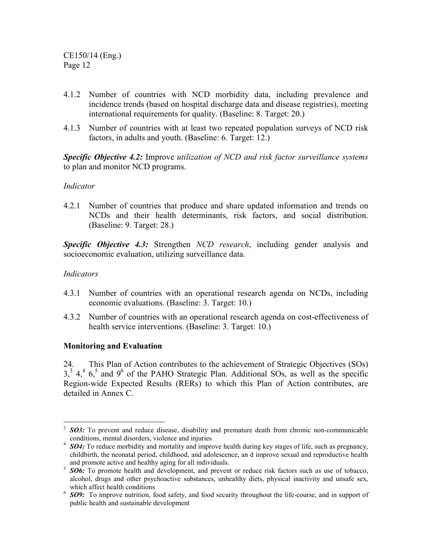- 4.1.2 Number of countries with NCD morbidity data, including prevalence and incidence trends (based on hospital discharge data and disease registries), meeting international requirements for quality. (Baseline: 8. Target: 20.)
- 4.1.3 Number of countries with at least two repeated population surveys of NCD risk factors, in adults and youth. (Baseline: 6. Target: 12.)

*Specific Objective 4.2:* Improve *utilization of NCD and risk factor surveillance systems* to plan and monitor NCD programs.

#### *Indicator*

4.2.1 Number of countries that produce and share updated information and trends on NCDs and their health determinants, risk factors, and social distribution. (Baseline: 9. Target: 28.)

*Specific Objective 4.3:* Strengthen *NCD research*, including gender analysis and socioeconomic evaluation, utilizing surveillance data.

#### *Indicators*

 $\overline{a}$ 

- 4.3.1 Number of countries with an operational research agenda on NCDs, including economic evaluations. (Baseline: 3. Target: 10.)
- 4.3.2 Number of countries with an operational research agenda on cost-effectiveness of health service interventions. (Baseline: 3. Target: 10.)

#### **Monitoring and Evaluation**

24. This Plan of Action contributes to the achievement of Strategic Objectives (SOs)  $3<sup>3</sup>$ ,  $4<sup>4</sup>$ ,  $6<sup>5</sup>$  and  $9<sup>6</sup>$  of the PAHO Strategic Plan. Additional SOs, as well as the specific Region-wide Expected Results (RERs) to which this Plan of Action contributes, are detailed in Annex C.

<sup>3</sup> *SO3:* To prevent and reduce disease, disability and premature death from chronic non-communicable conditions, mental disorders, violence and injuries

<sup>&</sup>lt;sup>4</sup> SO4: To reduce morbidity and mortality and improve health during key stages of life, such as pregnancy, childbirth, the neonatal period, childhood, and adolescence, an d improve sexual and reproductive health and promote active and healthy aging for all individuals.

<sup>&</sup>lt;sup>5</sup> **SO6:** To promote health and development, and prevent or reduce risk factors such as use of tobacco, alcohol, drugs and other psychoactive substances, unhealthy diets, physical inactivity and unsafe sex, which affect health conditions

<sup>&</sup>lt;sup>6</sup> SO9: To improve nutrition, food safety, and food security throughout the life-course, and in support of public health and sustainable development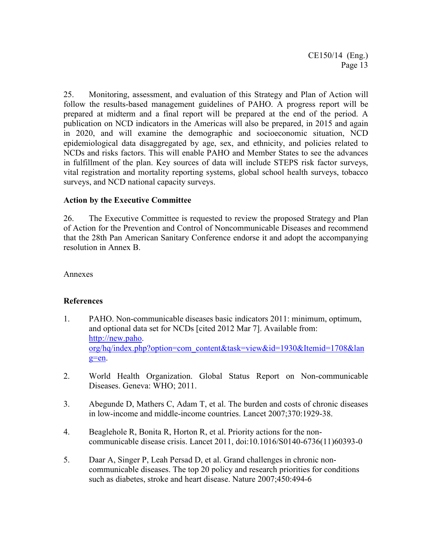25. Monitoring, assessment, and evaluation of this Strategy and Plan of Action will follow the results-based management guidelines of PAHO. A progress report will be prepared at midterm and a final report will be prepared at the end of the period. A publication on NCD indicators in the Americas will also be prepared, in 2015 and again in 2020, and will examine the demographic and socioeconomic situation, NCD epidemiological data disaggregated by age, sex, and ethnicity, and policies related to NCDs and risks factors. This will enable PAHO and Member States to see the advances in fulfillment of the plan. Key sources of data will include STEPS risk factor surveys, vital registration and mortality reporting systems, global school health surveys, tobacco surveys, and NCD national capacity surveys.

#### **Action by the Executive Committee**

26. The Executive Committee is requested to review the proposed Strategy and Plan of Action for the Prevention and Control of Noncommunicable Diseases and recommend that the 28th Pan American Sanitary Conference endorse it and adopt the accompanying resolution in Annex B.

Annexes

#### **References**

- 1. PAHO. Non-communicable diseases basic indicators 2011: minimum, optimum, and optional data set for NCDs [cited 2012 Mar 7]. Available from: http://new.paho. org/hq/index.php?option=com\_content&task=view&id=1930&Itemid=1708&lan g=en.
- 2. World Health Organization. Global Status Report on Non-communicable Diseases. Geneva: WHO; 2011.
- 3. Abegunde D, Mathers C, Adam T, et al. The burden and costs of chronic diseases in low-income and middle-income countries. Lancet 2007;370:1929-38.
- 4. Beaglehole R, Bonita R, Horton R, et al. Priority actions for the noncommunicable disease crisis. Lancet 2011, doi:10.1016/S0140-6736(11)60393-0
- 5. Daar A, Singer P, Leah Persad D, et al. Grand challenges in chronic noncommunicable diseases. The top 20 policy and research priorities for conditions such as diabetes, stroke and heart disease. Nature 2007;450:494-6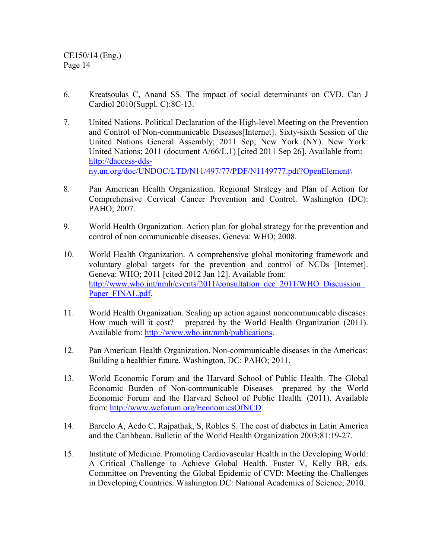- 6. Kreatsoulas C, Anand SS. The impact of social determinants on CVD. Can J Cardiol 2010(Suppl. C):8C-13.
- 7. United Nations. Political Declaration of the High-level Meeting on the Prevention and Control of Non-communicable Diseases[Internet]. Sixty-sixth Session of the United Nations General Assembly; 2011 Sep; New York (NY). New York: United Nations; 2011 (document A/66/L.1) [cited 2011 Sep 26]. Available from: http://daccess-ddsny.un.org/doc/UNDOC/LTD/N11/497/77/PDF/N1149777.pdf?OpenElement\
- 8. Pan American Health Organization. Regional Strategy and Plan of Action for Comprehensive Cervical Cancer Prevention and Control. Washington (DC): PAHO; 2007.
- 9. World Health Organization. Action plan for global strategy for the prevention and control of non communicable diseases. Geneva: WHO; 2008.
- 10. World Health Organization. A comprehensive global monitoring framework and voluntary global targets for the prevention and control of NCDs [Internet]. Geneva: WHO; 2011 [cited 2012 Jan 12]. Available from: http://www.who.int/nmh/events/2011/consultation\_dec\_2011/WHO\_Discussion Paper\_FINAL.pdf.
- 11. World Health Organization. Scaling up action against noncommunicable diseases: How much will it cost? – prepared by the World Health Organization (2011). Available from: http://www.who.int/nmh/publications.
- 12. Pan American Health Organization. Non-communicable diseases in the Americas: Building a healthier future. Washington, DC: PAHO; 2011.
- 13. World Economic Forum and the Harvard School of Public Health. The Global Economic Burden of Non-communicable Diseases –prepared by the World Economic Forum and the Harvard School of Public Health. (2011). Available from: http://www.weforum.org/EconomicsOfNCD.
- 14. Barcelo A, Aedo C, Rajpathak, S, Robles S. The cost of diabetes in Latin America and the Caribbean. Bulletin of the World Health Organization 2003;81:19-27.
- 15. Institute of Medicine. Promoting Cardiovascular Health in the Developing World: A Critical Challenge to Achieve Global Health. Fuster V, Kelly BB, eds. Committee on Preventing the Global Epidemic of CVD: Meeting the Challenges in Developing Countries. Washington DC: National Academies of Science; 2010.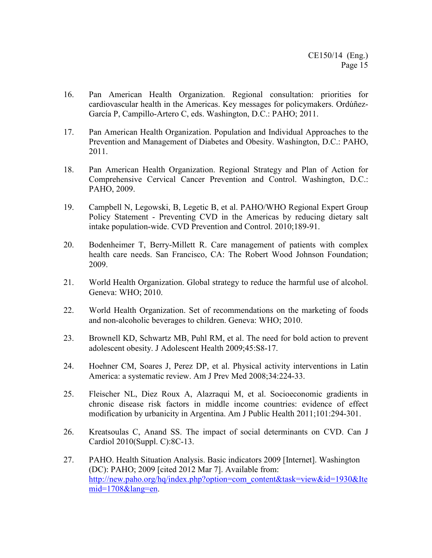- 16. Pan American Health Organization. Regional consultation: priorities for cardiovascular health in the Americas. Key messages for policymakers. Ordúñez-García P, Campillo-Artero C, eds. Washington, D.C.: PAHO; 2011.
- 17. Pan American Health Organization. Population and Individual Approaches to the Prevention and Management of Diabetes and Obesity. Washington, D.C.: PAHO, 2011.
- 18. Pan American Health Organization. Regional Strategy and Plan of Action for Comprehensive Cervical Cancer Prevention and Control. Washington, D.C.: PAHO, 2009.
- 19. Campbell N, Legowski, B, Legetic B, et al. PAHO/WHO Regional Expert Group Policy Statement - Preventing CVD in the Americas by reducing dietary salt intake population-wide. CVD Prevention and Control. 2010;189-91.
- 20. Bodenheimer T, Berry-Millett R. Care management of patients with complex health care needs. San Francisco, CA: The Robert Wood Johnson Foundation; 2009.
- 21. World Health Organization. Global strategy to reduce the harmful use of alcohol. Geneva: WHO; 2010.
- 22. World Health Organization. Set of recommendations on the marketing of foods and non-alcoholic beverages to children. Geneva: WHO; 2010.
- 23. Brownell KD, Schwartz MB, Puhl RM, et al. The need for bold action to prevent adolescent obesity. J Adolescent Health 2009;45:S8-17.
- 24. Hoehner CM, Soares J, Perez DP, et al. Physical activity interventions in Latin America: a systematic review. Am J Prev Med 2008;34:224-33.
- 25. Fleischer NL, Diez Roux A, Alazraqui M, et al. Socioeconomic gradients in chronic disease risk factors in middle income countries: evidence of effect modification by urbanicity in Argentina. Am J Public Health 2011;101:294-301.
- 26. Kreatsoulas C, Anand SS. The impact of social determinants on CVD. Can J Cardiol 2010(Suppl. C):8C-13.
- 27. PAHO. Health Situation Analysis. Basic indicators 2009 [Internet]. Washington (DC): PAHO; 2009 [cited 2012 Mar 7]. Available from: http://new.paho.org/hq/index.php?option=com\_content&task=view&id=1930&Ite mid=1708&lang=en.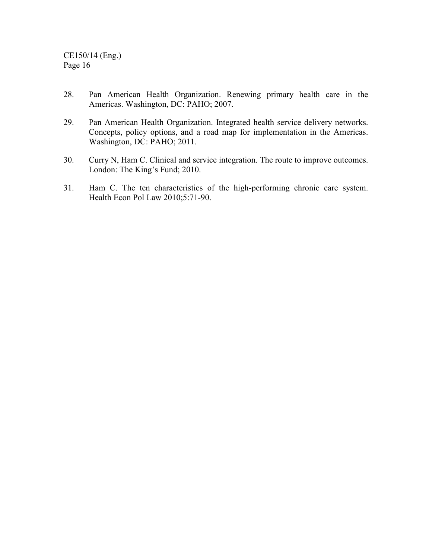- 28. Pan American Health Organization. Renewing primary health care in the Americas. Washington, DC: PAHO; 2007.
- 29. Pan American Health Organization. Integrated health service delivery networks. Concepts, policy options, and a road map for implementation in the Americas. Washington, DC: PAHO; 2011.
- 30. Curry N, Ham C. Clinical and service integration. The route to improve outcomes. London: The King's Fund; 2010.
- 31. Ham C. The ten characteristics of the high-performing chronic care system. Health Econ Pol Law 2010;5:71-90.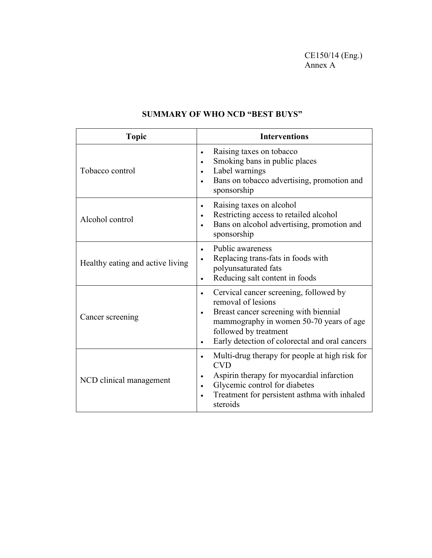CE150/14 (Eng.) Annex A

| <b>Topic</b>                     | <b>Interventions</b>                                                                                                                                                                                                                                               |
|----------------------------------|--------------------------------------------------------------------------------------------------------------------------------------------------------------------------------------------------------------------------------------------------------------------|
| Tobacco control                  | Raising taxes on tobacco<br>$\bullet$<br>Smoking bans in public places<br>$\bullet$<br>Label warnings<br>$\bullet$<br>Bans on tobacco advertising, promotion and<br>sponsorship                                                                                    |
| Alcohol control                  | Raising taxes on alcohol<br>Restricting access to retailed alcohol<br>$\bullet$<br>Bans on alcohol advertising, promotion and<br>sponsorship                                                                                                                       |
| Healthy eating and active living | Public awareness<br>Replacing trans-fats in foods with<br>$\bullet$<br>polyunsaturated fats<br>Reducing salt content in foods                                                                                                                                      |
| Cancer screening                 | Cervical cancer screening, followed by<br>$\bullet$<br>removal of lesions<br>Breast cancer screening with biennial<br>$\bullet$<br>mammography in women 50-70 years of age<br>followed by treatment<br>Early detection of colorectal and oral cancers<br>$\bullet$ |
| NCD clinical management          | Multi-drug therapy for people at high risk for<br>$\bullet$<br><b>CVD</b><br>Aspirin therapy for myocardial infarction<br>Glycemic control for diabetes<br>$\bullet$<br>Treatment for persistent asthma with inhaled<br>steroids                                   |

# **SUMMARY OF WHO NCD "BEST BUYS"**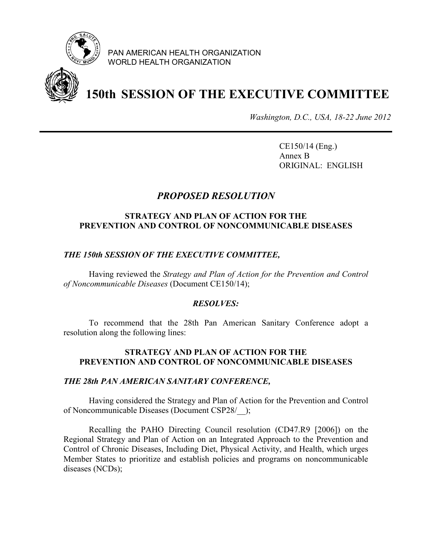

PAN AMERICAN HEALTH ORGANIZATION WORLD HEALTH ORGANIZATION



# **150th SESSION OF THE EXECUTIVE COMMITTEE**

*Washington, D.C., USA, 18-22 June 2012* 

CE150/14 (Eng.) Annex B ORIGINAL: ENGLISH

# *PROPOSED RESOLUTION*

#### **STRATEGY AND PLAN OF ACTION FOR THE PREVENTION AND CONTROL OF NONCOMMUNICABLE DISEASES**

#### *THE 150th SESSION OF THE EXECUTIVE COMMITTEE,*

 Having reviewed the *Strategy and Plan of Action for the Prevention and Control of Noncommunicable Diseases* (Document CE150/14);

#### *RESOLVES:*

 To recommend that the 28th Pan American Sanitary Conference adopt a resolution along the following lines:

#### **STRATEGY AND PLAN OF ACTION FOR THE PREVENTION AND CONTROL OF NONCOMMUNICABLE DISEASES**

#### *THE 28th PAN AMERICAN SANITARY CONFERENCE,*

Having considered the Strategy and Plan of Action for the Prevention and Control of Noncommunicable Diseases (Document CSP28/\_\_);

 Recalling the PAHO Directing Council resolution (CD47.R9 [2006]) on the Regional Strategy and Plan of Action on an Integrated Approach to the Prevention and Control of Chronic Diseases, Including Diet, Physical Activity, and Health, which urges Member States to prioritize and establish policies and programs on noncommunicable diseases (NCDs);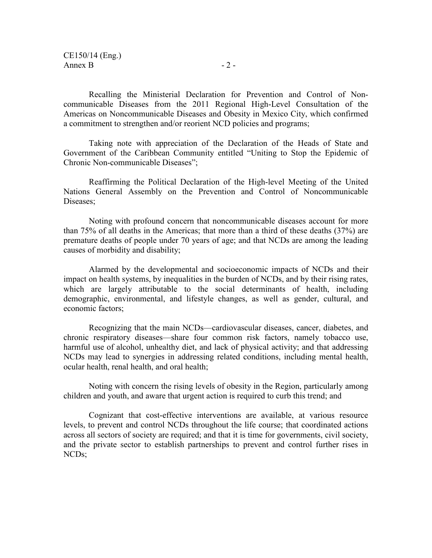Recalling the Ministerial Declaration for Prevention and Control of Noncommunicable Diseases from the 2011 Regional High-Level Consultation of the Americas on Noncommunicable Diseases and Obesity in Mexico City, which confirmed a commitment to strengthen and/or reorient NCD policies and programs;

Taking note with appreciation of the Declaration of the Heads of State and Government of the Caribbean Community entitled "Uniting to Stop the Epidemic of Chronic Non-communicable Diseases";

Reaffirming the Political Declaration of the High-level Meeting of the United Nations General Assembly on the Prevention and Control of Noncommunicable Diseases;

 Noting with profound concern that noncommunicable diseases account for more than 75% of all deaths in the Americas; that more than a third of these deaths (37%) are premature deaths of people under 70 years of age; and that NCDs are among the leading causes of morbidity and disability;

 Alarmed by the developmental and socioeconomic impacts of NCDs and their impact on health systems, by inequalities in the burden of NCDs, and by their rising rates, which are largely attributable to the social determinants of health, including demographic, environmental, and lifestyle changes, as well as gender, cultural, and economic factors;

Recognizing that the main NCDs—cardiovascular diseases, cancer, diabetes, and chronic respiratory diseases—share four common risk factors, namely tobacco use, harmful use of alcohol, unhealthy diet, and lack of physical activity; and that addressing NCDs may lead to synergies in addressing related conditions, including mental health, ocular health, renal health, and oral health;

Noting with concern the rising levels of obesity in the Region, particularly among children and youth, and aware that urgent action is required to curb this trend; and

Cognizant that cost-effective interventions are available, at various resource levels, to prevent and control NCDs throughout the life course; that coordinated actions across all sectors of society are required; and that it is time for governments, civil society, and the private sector to establish partnerships to prevent and control further rises in NCDs;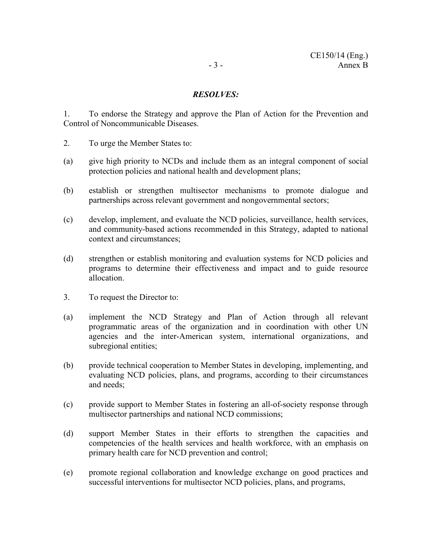#### *RESOLVES:*

1. To endorse the Strategy and approve the Plan of Action for the Prevention and Control of Noncommunicable Diseases.

- 2. To urge the Member States to:
- (a) give high priority to NCDs and include them as an integral component of social protection policies and national health and development plans;
- (b) establish or strengthen multisector mechanisms to promote dialogue and partnerships across relevant government and nongovernmental sectors;
- (c) develop, implement, and evaluate the NCD policies, surveillance, health services, and community-based actions recommended in this Strategy, adapted to national context and circumstances;
- (d) strengthen or establish monitoring and evaluation systems for NCD policies and programs to determine their effectiveness and impact and to guide resource allocation.
- 3. To request the Director to:
- (a) implement the NCD Strategy and Plan of Action through all relevant programmatic areas of the organization and in coordination with other UN agencies and the inter-American system, international organizations, and subregional entities;
- (b) provide technical cooperation to Member States in developing, implementing, and evaluating NCD policies, plans, and programs, according to their circumstances and needs;
- (c) provide support to Member States in fostering an all-of-society response through multisector partnerships and national NCD commissions;
- (d) support Member States in their efforts to strengthen the capacities and competencies of the health services and health workforce, with an emphasis on primary health care for NCD prevention and control;
- (e) promote regional collaboration and knowledge exchange on good practices and successful interventions for multisector NCD policies, plans, and programs,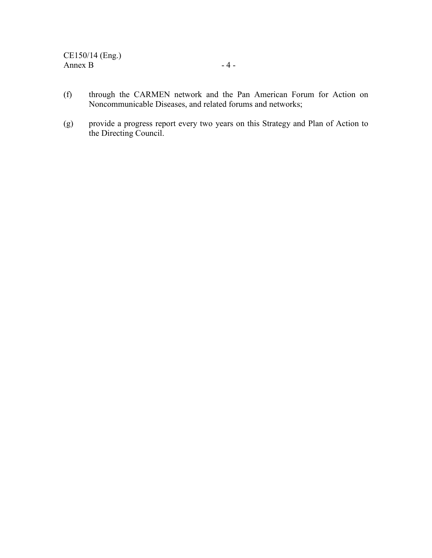- (f) through the CARMEN network and the Pan American Forum for Action on Noncommunicable Diseases, and related forums and networks;
- (g) provide a progress report every two years on this Strategy and Plan of Action to the Directing Council.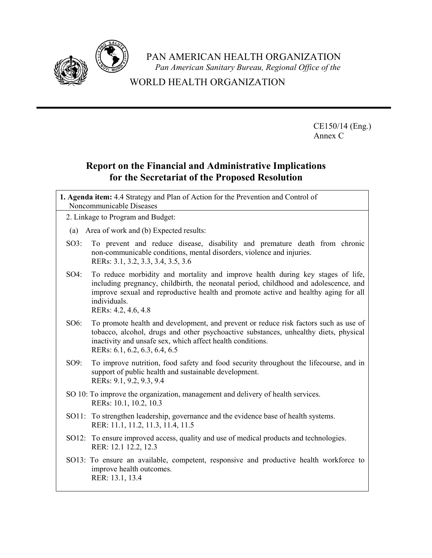

PAN AMERICAN HEALTH ORGANIZATION *Pan American Sanitary Bureau, Regional Office of the*

# WORLD HEALTH ORGANIZATION

CE150/14 (Eng.) Annex C

# **Report on the Financial and Administrative Implications for the Secretariat of the Proposed Resolution**

**1. Agenda item:** 4.4 Strategy and Plan of Action for the Prevention and Control of Noncommunicable Diseases

2. Linkage to Program and Budget:

- (a) Area of work and (b) Expected results:
- SO3: To prevent and reduce disease, disability and premature death from chronic non-communicable conditions, mental disorders, violence and injuries. RERs: 3.1, 3.2, 3.3, 3.4, 3.5, 3.6
- SO4: To reduce morbidity and mortality and improve health during key stages of life, including pregnancy, childbirth, the neonatal period, childhood and adolescence, and improve sexual and reproductive health and promote active and healthy aging for all individuals. RERs: 4.2, 4.6, 4.8

SO6: To promote health and development, and prevent or reduce risk factors such as use of tobacco, alcohol, drugs and other psychoactive substances, unhealthy diets, physical inactivity and unsafe sex, which affect health conditions.

RERs: 6.1, 6.2, 6.3, 6.4, 6.5

- SO9: To improve nutrition, food safety and food security throughout the lifecourse, and in support of public health and sustainable development. RERs: 9.1, 9.2, 9.3, 9.4
- SO 10: To improve the organization, management and delivery of health services. RERs: 10.1, 10.2, 10.3
- SO11: To strengthen leadership, governance and the evidence base of health systems. RER: 11.1, 11.2, 11.3, 11.4, 11.5
- SO12: To ensure improved access, quality and use of medical products and technologies. RER: 12.1 12.2, 12.3
- SO13: To ensure an available, competent, responsive and productive health workforce to improve health outcomes. RER: 13.1, 13.4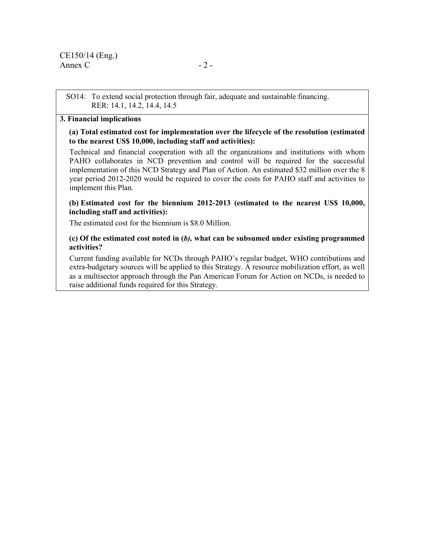SO14: To extend social protection through fair, adequate and sustainable financing. RER: 14.1, 14.2, 14.4, 14.5

#### **3. Financial implications**

**(a) Total estimated cost for implementation over the lifecycle of the resolution (estimated to the nearest US\$ 10,000, including staff and activities):** 

Technical and financial cooperation with all the organizations and institutions with whom PAHO collaborates in NCD prevention and control will be required for the successful implementation of this NCD Strategy and Plan of Action. An estimated \$32 million over the 8 year period 2012-2020 would be required to cover the costs for PAHO staff and activities to implement this Plan.

#### **(b) Estimated cost for the biennium 2012-2013 (estimated to the nearest US\$ 10,000, including staff and activities):**

The estimated cost for the biennium is \$8.0 Million.

#### **(c) Of the estimated cost noted in (***b),* **what can be subsumed under existing programmed activities?**

Current funding available for NCDs through PAHO's regular budget, WHO contributions and extra-budgetary sources will be applied to this Strategy. A resource mobilization effort, as well as a multisector approach through the Pan American Forum for Action on NCDs, is needed to raise additional funds required for this Strategy.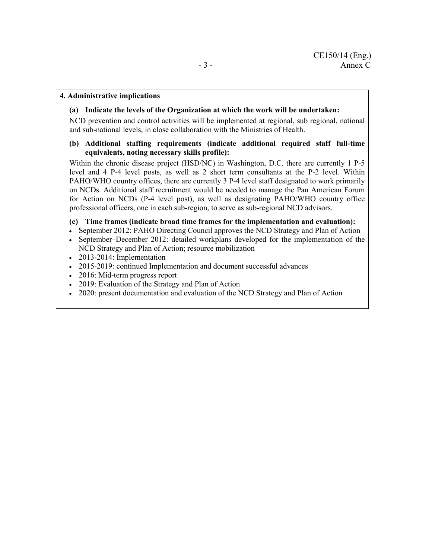#### **4. Administrative implications**

 **(a) Indicate the levels of the Organization at which the work will be undertaken:** 

NCD prevention and control activities will be implemented at regional, sub regional, national and sub-national levels, in close collaboration with the Ministries of Health.

#### **(b) Additional staffing requirements (indicate additional required staff full-time equivalents, noting necessary skills profile):**

Within the chronic disease project (HSD/NC) in Washington, D.C. there are currently 1 P-5 level and 4 P-4 level posts, as well as 2 short term consultants at the P-2 level. Within PAHO/WHO country offices, there are currently 3 P-4 level staff designated to work primarily on NCDs. Additional staff recruitment would be needed to manage the Pan American Forum for Action on NCDs (P-4 level post), as well as designating PAHO/WHO country office professional officers, one in each sub-region, to serve as sub-regional NCD advisors.

#### **(c) Time frames (indicate broad time frames for the implementation and evaluation):**

- September 2012: PAHO Directing Council approves the NCD Strategy and Plan of Action
- September–December 2012: detailed workplans developed for the implementation of the NCD Strategy and Plan of Action; resource mobilization
- 2013-2014: Implementation
- 2015-2019: continued Implementation and document successful advances
- 2016: Mid-term progress report
- 2019: Evaluation of the Strategy and Plan of Action
- 2020: present documentation and evaluation of the NCD Strategy and Plan of Action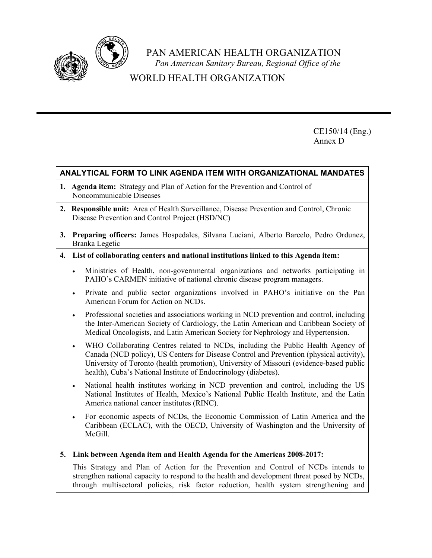

PAN AMERICAN HEALTH ORGANIZATION

*Pan American Sanitary Bureau, Regional Office of the* 

# WORLD HEALTH ORGANIZATION

CE150/14 (Eng.) Annex D

#### **ANALYTICAL FORM TO LINK AGENDA ITEM WITH ORGANIZATIONAL MANDATES**

- **1. Agenda item:** Strategy and Plan of Action for the Prevention and Control of Noncommunicable Diseases
- **2. Responsible unit:** Area of Health Surveillance, Disease Prevention and Control, Chronic Disease Prevention and Control Project (HSD/NC)
- **3. Preparing officers:** James Hospedales, Silvana Luciani, Alberto Barcelo, Pedro Ordunez, Branka Legetic
- **4. List of collaborating centers and national institutions linked to this Agenda item:** 
	- Ministries of Health, non-governmental organizations and networks participating in PAHO's CARMEN initiative of national chronic disease program managers.
	- Private and public sector organizations involved in PAHO's initiative on the Pan American Forum for Action on NCDs.
	- Professional societies and associations working in NCD prevention and control, including the Inter-American Society of Cardiology, the Latin American and Caribbean Society of Medical Oncologists, and Latin American Society for Nephrology and Hypertension.
	- WHO Collaborating Centres related to NCDs, including the Public Health Agency of Canada (NCD policy), US Centers for Disease Control and Prevention (physical activity), University of Toronto (health promotion), University of Missouri (evidence-based public health), Cuba's National Institute of Endocrinology (diabetes).
	- National health institutes working in NCD prevention and control, including the US National Institutes of Health, Mexico's National Public Health Institute, and the Latin America national cancer institutes (RINC).
	- For economic aspects of NCDs, the Economic Commission of Latin America and the Caribbean (ECLAC), with the OECD, University of Washington and the University of McGill.
- **5. Link between Agenda item and Health Agenda for the Americas 2008-2017:**

 This Strategy and Plan of Action for the Prevention and Control of NCDs intends to strengthen national capacity to respond to the health and development threat posed by NCDs, through multisectoral policies, risk factor reduction, health system strengthening and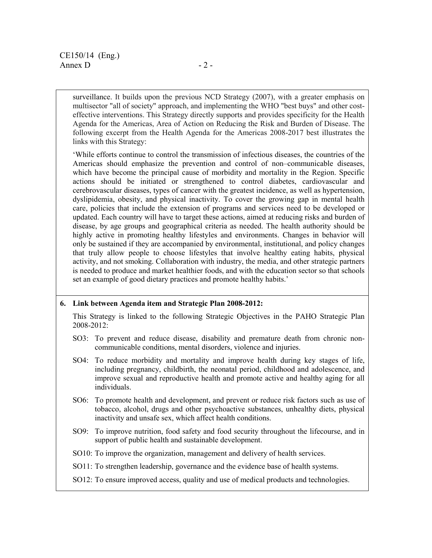surveillance. It builds upon the previous NCD Strategy (2007), with a greater emphasis on multisector "all of society" approach, and implementing the WHO "best buys" and other costeffective interventions. This Strategy directly supports and provides specificity for the Health Agenda for the Americas, Area of Action on Reducing the Risk and Burden of Disease. The following excerpt from the Health Agenda for the Americas 2008-2017 best illustrates the links with this Strategy:

'While efforts continue to control the transmission of infectious diseases, the countries of the Americas should emphasize the prevention and control of non–communicable diseases, which have become the principal cause of morbidity and mortality in the Region. Specific actions should be initiated or strengthened to control diabetes, cardiovascular and cerebrovascular diseases, types of cancer with the greatest incidence, as well as hypertension, dyslipidemia, obesity, and physical inactivity. To cover the growing gap in mental health care, policies that include the extension of programs and services need to be developed or updated. Each country will have to target these actions, aimed at reducing risks and burden of disease, by age groups and geographical criteria as needed. The health authority should be highly active in promoting healthy lifestyles and environments. Changes in behavior will only be sustained if they are accompanied by environmental, institutional, and policy changes that truly allow people to choose lifestyles that involve healthy eating habits, physical activity, and not smoking. Collaboration with industry, the media, and other strategic partners is needed to produce and market healthier foods, and with the education sector so that schools set an example of good dietary practices and promote healthy habits.'

#### **6. Link between Agenda item and Strategic Plan 2008-2012:**

This Strategy is linked to the following Strategic Objectives in the PAHO Strategic Plan 2008-2012:

- SO3: To prevent and reduce disease, disability and premature death from chronic non communicable conditions, mental disorders, violence and injuries.
- SO4: To reduce morbidity and mortality and improve health during key stages of life, including pregnancy, childbirth, the neonatal period, childhood and adolescence, and improve sexual and reproductive health and promote active and healthy aging for all individuals.
- SO6: To promote health and development, and prevent or reduce risk factors such as use of tobacco, alcohol, drugs and other psychoactive substances, unhealthy diets, physical inactivity and unsafe sex, which affect health conditions.
- SO9: To improve nutrition, food safety and food security throughout the lifecourse, and in support of public health and sustainable development.
- SO10: To improve the organization, management and delivery of health services.
- SO11: To strengthen leadership, governance and the evidence base of health systems.
- SO12: To ensure improved access, quality and use of medical products and technologies.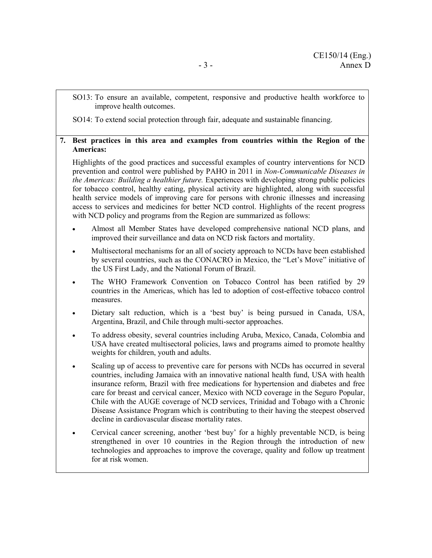SO13: To ensure an available, competent, responsive and productive health workforce to improve health outcomes.

SO14: To extend social protection through fair, adequate and sustainable financing.

#### **7. Best practices in this area and examples from countries within the Region of the Americas:**

Highlights of the good practices and successful examples of country interventions for NCD prevention and control were published by PAHO in 2011 in *Non-Communicable Diseases in the Americas: Building a healthier future.* Experiences with developing strong public policies for tobacco control, healthy eating, physical activity are highlighted, along with successful health service models of improving care for persons with chronic illnesses and increasing access to services and medicines for better NCD control. Highlights of the recent progress with NCD policy and programs from the Region are summarized as follows:

- Almost all Member States have developed comprehensive national NCD plans, and improved their surveillance and data on NCD risk factors and mortality.
- Multisectoral mechanisms for an all of society approach to NCDs have been established by several countries, such as the CONACRO in Mexico, the "Let's Move" initiative of the US First Lady, and the National Forum of Brazil.
- The WHO Framework Convention on Tobacco Control has been ratified by 29 countries in the Americas, which has led to adoption of cost-effective tobacco control measures.
- Dietary salt reduction, which is a 'best buy' is being pursued in Canada, USA, Argentina, Brazil, and Chile through multi-sector approaches.
- To address obesity, several countries including Aruba, Mexico, Canada, Colombia and USA have created multisectoral policies, laws and programs aimed to promote healthy weights for children, youth and adults.
- Scaling up of access to preventive care for persons with NCDs has occurred in several countries, including Jamaica with an innovative national health fund, USA with health insurance reform, Brazil with free medications for hypertension and diabetes and free care for breast and cervical cancer, Mexico with NCD coverage in the Seguro Popular, Chile with the AUGE coverage of NCD services, Trinidad and Tobago with a Chronic Disease Assistance Program which is contributing to their having the steepest observed decline in cardiovascular disease mortality rates.
- Cervical cancer screening, another 'best buy' for a highly preventable NCD, is being strengthened in over 10 countries in the Region through the introduction of new technologies and approaches to improve the coverage, quality and follow up treatment for at risk women.